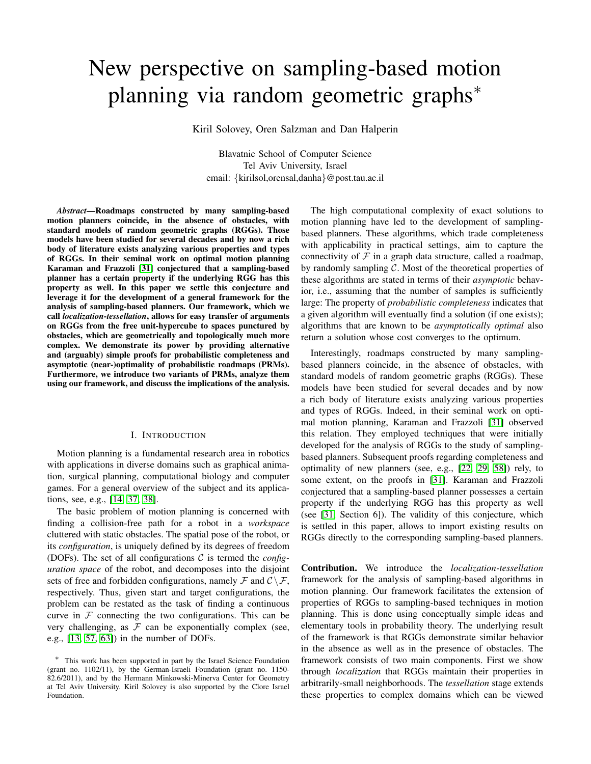# New perspective on sampling-based motion planning via random geometric graphs<sup>\*</sup>

Kiril Solovey, Oren Salzman and Dan Halperin

Blavatnic School of Computer Science Tel Aviv University, Israel email: {kirilsol,orensal,danha}@post.tau.ac.il

*Abstract*—Roadmaps constructed by many sampling-based motion planners coincide, in the absence of obstacles, with standard models of random geometric graphs (RGGs). Those models have been studied for several decades and by now a rich body of literature exists analyzing various properties and types of RGGs. In their seminal work on optimal motion planning Karaman and Frazzoli [\[31\]](#page-9-0) conjectured that a sampling-based planner has a certain property if the underlying RGG has this property as well. In this paper we settle this conjecture and leverage it for the development of a general framework for the analysis of sampling-based planners. Our framework, which we call *localization-tessellation*, allows for easy transfer of arguments on RGGs from the free unit-hypercube to spaces punctured by obstacles, which are geometrically and topologically much more complex. We demonstrate its power by providing alternative and (arguably) simple proofs for probabilistic completeness and asymptotic (near-)optimality of probabilistic roadmaps (PRMs). Furthermore, we introduce two variants of PRMs, analyze them using our framework, and discuss the implications of the analysis.

## I. INTRODUCTION

Motion planning is a fundamental research area in robotics with applications in diverse domains such as graphical animation, surgical planning, computational biology and computer games. For a general overview of the subject and its applications, see, e.g., [\[14,](#page-8-0) [37,](#page-9-1) [38\]](#page-9-2).

The basic problem of motion planning is concerned with finding a collision-free path for a robot in a *workspace* cluttered with static obstacles. The spatial pose of the robot, or its *configuration*, is uniquely defined by its degrees of freedom (DOFs). The set of all configurations C is termed the *configuration space* of the robot, and decomposes into the disjoint sets of free and forbidden configurations, namely  $\mathcal F$  and  $\mathcal C \setminus \mathcal F$ , respectively. Thus, given start and target configurations, the problem can be restated as the task of finding a continuous curve in  $F$  connecting the two configurations. This can be very challenging, as  $F$  can be exponentially complex (see, e.g., [\[13,](#page-8-1) [57,](#page-9-3) [63\]](#page-10-0)) in the number of DOFs.

The high computational complexity of exact solutions to motion planning have led to the development of samplingbased planners. These algorithms, which trade completeness with applicability in practical settings, aim to capture the connectivity of  $\mathcal F$  in a graph data structure, called a roadmap, by randomly sampling  $C$ . Most of the theoretical properties of these algorithms are stated in terms of their *asymptotic* behavior, i.e., assuming that the number of samples is sufficiently large: The property of *probabilistic completeness* indicates that a given algorithm will eventually find a solution (if one exists); algorithms that are known to be *asymptotically optimal* also return a solution whose cost converges to the optimum.

Interestingly, roadmaps constructed by many samplingbased planners coincide, in the absence of obstacles, with standard models of random geometric graphs (RGGs). These models have been studied for several decades and by now a rich body of literature exists analyzing various properties and types of RGGs. Indeed, in their seminal work on optimal motion planning, Karaman and Frazzoli [\[31\]](#page-9-0) observed this relation. They employed techniques that were initially developed for the analysis of RGGs to the study of samplingbased planners. Subsequent proofs regarding completeness and optimality of new planners (see, e.g., [\[22,](#page-8-2) [29,](#page-8-3) [58\]](#page-9-4)) rely, to some extent, on the proofs in [\[31\]](#page-9-0). Karaman and Frazzoli conjectured that a sampling-based planner possesses a certain property if the underlying RGG has this property as well (see [\[31,](#page-9-0) Section 6]). The validity of this conjecture, which is settled in this paper, allows to import existing results on RGGs directly to the corresponding sampling-based planners.

Contribution. We introduce the *localization-tessellation* framework for the analysis of sampling-based algorithms in motion planning. Our framework facilitates the extension of properties of RGGs to sampling-based techniques in motion planning. This is done using conceptually simple ideas and elementary tools in probability theory. The underlying result of the framework is that RGGs demonstrate similar behavior in the absence as well as in the presence of obstacles. The framework consists of two main components. First we show through *localization* that RGGs maintain their properties in arbitrarily-small neighborhoods. The *tessellation* stage extends these properties to complex domains which can be viewed

<sup>∗</sup> This work has been supported in part by the Israel Science Foundation (grant no. 1102/11), by the German-Israeli Foundation (grant no. 1150- 82.6/2011), and by the Hermann Minkowski-Minerva Center for Geometry at Tel Aviv University. Kiril Solovey is also supported by the Clore Israel Foundation.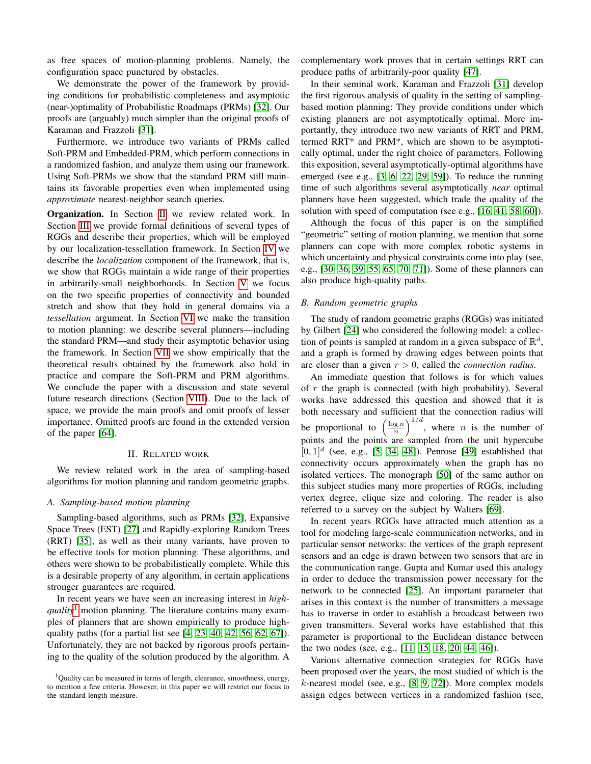as free spaces of motion-planning problems. Namely, the configuration space punctured by obstacles.

We demonstrate the power of the framework by providing conditions for probabilistic completeness and asymptotic (near-)optimality of Probabilistic Roadmaps (PRMs) [\[32\]](#page-9-5). Our proofs are (arguably) much simpler than the original proofs of Karaman and Frazzoli [\[31\]](#page-9-0).

Furthermore, we introduce two variants of PRMs called Soft-PRM and Embedded-PRM, which perform connections in a randomized fashion, and analyze them using our framework. Using Soft-PRMs we show that the standard PRM still maintains its favorable properties even when implemented using *approximate* nearest-neighbor search queries.

Organization. In Section [II](#page-1-0) we review related work. In Section [III](#page-2-0) we provide formal definitions of several types of RGGs and describe their properties, which will be employed by our localization-tessellation framework. In Section [IV](#page-2-1) we describe the *localization* component of the framework, that is, we show that RGGs maintain a wide range of their properties in arbitrarily-small neighborhoods. In Section [V](#page-3-0) we focus on the two specific properties of connectivity and bounded stretch and show that they hold in general domains via a *tessellation* argument. In Section [VI](#page-5-0) we make the transition to motion planning: we describe several planners—including the standard PRM—and study their asymptotic behavior using the framework. In Section [VII](#page-6-0) we show empirically that the theoretical results obtained by the framework also hold in practice and compare the Soft-PRM and PRM algorithms. We conclude the paper with a discussion and state several future research directions (Section [VIII\)](#page-7-0). Due to the lack of space, we provide the main proofs and omit proofs of lesser importance. Omitted proofs are found in the extended version of the paper [\[64\]](#page-10-1).

#### II. RELATED WORK

<span id="page-1-0"></span>We review related work in the area of sampling-based algorithms for motion planning and random geometric graphs.

# *A. Sampling-based motion planning*

Sampling-based algorithms, such as PRMs [\[32\]](#page-9-5), Expansive Space Trees (EST) [\[27\]](#page-8-4) and Rapidly-exploring Random Trees (RRT) [\[35\]](#page-9-6), as well as their many variants, have proven to be effective tools for motion planning. These algorithms, and others were shown to be probabilistically complete. While this is a desirable property of any algorithm, in certain applications stronger guarantees are required.

In recent years we have seen an increasing interest in *highquality*[1](#page-1-1) motion planning. The literature contains many examples of planners that are shown empirically to produce highquality paths (for a partial list see  $[4, 23, 40, 42, 56, 62, 67]$  $[4, 23, 40, 42, 56, 62, 67]$  $[4, 23, 40, 42, 56, 62, 67]$  $[4, 23, 40, 42, 56, 62, 67]$  $[4, 23, 40, 42, 56, 62, 67]$  $[4, 23, 40, 42, 56, 62, 67]$  $[4, 23, 40, 42, 56, 62, 67]$ ). Unfortunately, they are not backed by rigorous proofs pertaining to the quality of the solution produced by the algorithm. A complementary work proves that in certain settings RRT can produce paths of arbitrarily-poor quality [\[47\]](#page-9-10).

In their seminal work, Karaman and Frazzoli [\[31\]](#page-9-0) develop the first rigorous analysis of quality in the setting of samplingbased motion planning: They provide conditions under which existing planners are not asymptotically optimal. More importantly, they introduce two new variants of RRT and PRM, termed RRT\* and PRM\*, which are shown to be asymptotically optimal, under the right choice of parameters. Following this exposition, several asymptotically-optimal algorithms have emerged (see e.g., [\[3,](#page-8-7) [6,](#page-8-8) [22,](#page-8-2) [29,](#page-8-3) [59\]](#page-9-11)). To reduce the running time of such algorithms several asymptotically *near* optimal planners have been suggested, which trade the quality of the solution with speed of computation (see e.g., [\[16,](#page-8-9) [41,](#page-9-12) [58,](#page-9-4) [60\]](#page-9-13)).

Although the focus of this paper is on the simplified "geometric" setting of motion planning, we mention that some planners can cope with more complex robotic systems in which uncertainty and physical constraints come into play (see, e.g., [\[30,](#page-8-10) [36,](#page-9-14) [39,](#page-9-15) [55,](#page-9-16) [65,](#page-10-4) [70,](#page-10-5) [71\]](#page-10-6)). Some of these planners can also produce high-quality paths.

# *B. Random geometric graphs*

The study of random geometric graphs (RGGs) was initiated by Gilbert [\[24\]](#page-8-11) who considered the following model: a collection of points is sampled at random in a given subspace of  $\mathbb{R}^d$ , and a graph is formed by drawing edges between points that are closer than a given  $r > 0$ , called the *connection radius*.

An immediate question that follows is for which values of  $r$  the graph is connected (with high probability). Several works have addressed this question and showed that it is both necessary and sufficient that the connection radius will be proportional to  $\left(\frac{\log n}{n}\right)^{1/d}$ , where *n* is the number of points and the points are sampled from the unit hypercube  $[0, 1]$ <sup>d</sup> (see, e.g., [\[5,](#page-8-12) [34,](#page-9-17) [48\]](#page-9-18)). Penrose [\[49\]](#page-9-19) established that connectivity occurs approximately when the graph has no isolated vertices. The monograph [\[50\]](#page-9-20) of the same author on this subject studies many more properties of RGGs, including vertex degree, clique size and coloring. The reader is also referred to a survey on the subject by Walters [\[69\]](#page-10-7).

In recent years RGGs have attracted much attention as a tool for modeling large-scale communication networks, and in particular sensor networks: the vertices of the graph represent sensors and an edge is drawn between two sensors that are in the communication range. Gupta and Kumar used this analogy in order to deduce the transmission power necessary for the network to be connected [\[25\]](#page-8-13). An important parameter that arises in this context is the number of transmitters a message has to traverse in order to establish a broadcast between two given transmitters. Several works have established that this parameter is proportional to the Euclidean distance between the two nodes (see, e.g., [\[11,](#page-8-14) [15,](#page-8-15) [18,](#page-8-16) [20,](#page-8-17) [44,](#page-9-21) [46\]](#page-9-22)).

Various alternative connection strategies for RGGs have been proposed over the years, the most studied of which is the k-nearest model (see, e.g., [\[8,](#page-8-18) [9,](#page-8-19) [72\]](#page-10-8)). More complex models assign edges between vertices in a randomized fashion (see,

<span id="page-1-1"></span><sup>&</sup>lt;sup>1</sup>Quality can be measured in terms of length, clearance, smoothness, energy, to mention a few criteria. However, in this paper we will restrict our focus to the standard length measure.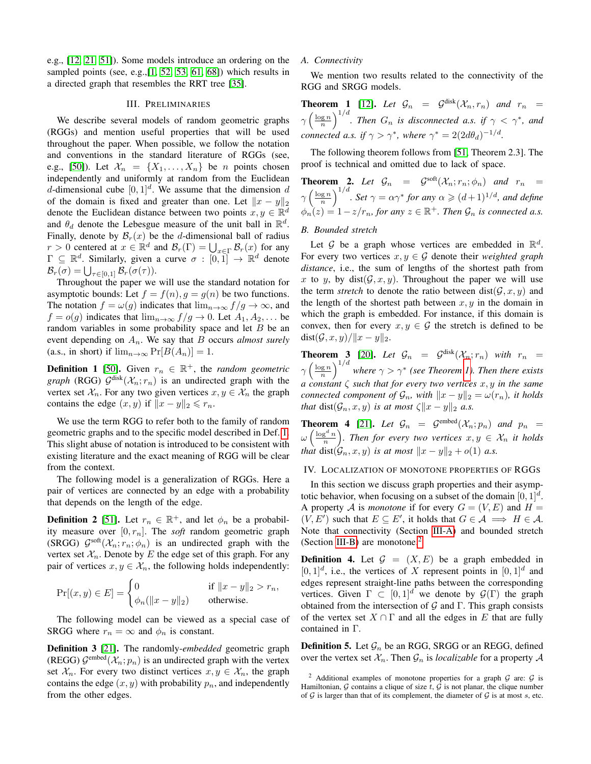e.g., [\[12,](#page-8-20) [21,](#page-8-21) [51\]](#page-9-23)). Some models introduce an ordering on the sampled points (see, e.g., [\[1,](#page-8-22) [52,](#page-9-24) [53,](#page-9-25) [61,](#page-9-26) [68\]](#page-10-9)) which results in a directed graph that resembles the RRT tree [\[35\]](#page-9-6).

#### III. PRELIMINARIES

<span id="page-2-0"></span>We describe several models of random geometric graphs (RGGs) and mention useful properties that will be used throughout the paper. When possible, we follow the notation and conventions in the standard literature of RGGs (see, e.g., [\[50\]](#page-9-20)). Let  $\mathcal{X}_n = \{X_1, \ldots, X_n\}$  be *n* points chosen independently and uniformly at random from the Euclidean d-dimensional cube  $[0, 1]^d$ . We assume that the dimension d of the domain is fixed and greater than one. Let  $||x - y||_2$ denote the Euclidean distance between two points  $x, y \in \mathbb{R}^d$ and  $\theta_d$  denote the Lebesgue measure of the unit ball in  $\mathbb{R}^d$ . Finally, denote by  $\mathcal{B}_r(x)$  be the d-dimensional ball of radius  $r > 0$  centered at  $x \in \mathbb{R}^d$  and  $\mathcal{B}_r(\Gamma) = \bigcup_{x \in \Gamma} \mathcal{B}_r(x)$  for any  $\Gamma \subseteq \mathbb{R}^d$ . Similarly, given a curve  $\sigma : [0,1] \to \mathbb{R}^d$  denote  $\mathcal{B}_r(\sigma) = \bigcup_{\tau \in [0,1]} \mathcal{B}_r(\sigma(\tau)).$ 

Throughout the paper we will use the standard notation for asymptotic bounds: Let  $f = f(n)$ ,  $g = g(n)$  be two functions. The notation  $f = \omega(g)$  indicates that  $\lim_{n\to\infty} f/g \to \infty$ , and  $f = o(g)$  indicates that  $\lim_{n \to \infty} f/g \to 0$ . Let  $A_1, A_2, \dots$  be random variables in some probability space and let  $B$  be an event depending on  $A_n$ . We say that  $B$  occurs *almost surely* (a.s., in short) if  $\lim_{n\to\infty} \Pr[B(A_n)] = 1$ .

<span id="page-2-2"></span>**Definition 1** [\[50\]](#page-9-20). Given  $r_n \in \mathbb{R}^+$ , the *random geometric graph* (RGG)  $\mathcal{G}^{\text{disk}}(\mathcal{X}_n; r_n)$  is an undirected graph with the vertex set  $\mathcal{X}_n$ . For any two given vertices  $x, y \in \mathcal{X}_n$  the graph contains the edge  $(x, y)$  if  $||x - y||_2 \le r_n$ .

We use the term RGG to refer both to the family of random geometric graphs and to the specific model described in Def. [1.](#page-2-2) This slight abuse of notation is introduced to be consistent with existing literature and the exact meaning of RGG will be clear from the context.

The following model is a generalization of RGGs. Here a pair of vertices are connected by an edge with a probability that depends on the length of the edge.

**Definition 2** [\[51\]](#page-9-23). Let  $r_n \in \mathbb{R}^+$ , and let  $\phi_n$  be a probability measure over  $[0, r_n]$ . The *soft* random geometric graph (SRGG)  $\mathcal{G}^{\text{soft}}(\mathcal{X}_n; r_n; \phi_n)$  is an undirected graph with the vertex set  $\mathcal{X}_n$ . Denote by E the edge set of this graph. For any pair of vertices  $x, y \in \mathcal{X}_n$ , the following holds independently:

$$
\Pr[(x, y) \in E] = \begin{cases} 0 & \text{if } ||x - y||_2 > r_n, \\ \phi_n(||x - y||_2) & \text{otherwise.} \end{cases}
$$

The following model can be viewed as a special case of SRGG where  $r_n = \infty$  and  $\phi_n$  is constant.

Definition 3 [\[21\]](#page-8-21). The randomly-*embedded* geometric graph (REGG)  $\mathcal{G}^{\text{embed}}(\mathcal{X}_n; p_n)$  is an undirected graph with the vertex set  $\mathcal{X}_n$ . For every two distinct vertices  $x, y \in \mathcal{X}_n$ , the graph contains the edge  $(x, y)$  with probability  $p_n$ , and independently from the other edges.

#### <span id="page-2-4"></span>*A. Connectivity*

We mention two results related to the connectivity of the RGG and SRGG models.

<span id="page-2-3"></span>**Theorem 1** [\[12\]](#page-8-20). Let  $\mathcal{G}_n = \mathcal{G}^{\text{disk}}(\mathcal{X}_n, r_n)$  and  $r_n =$  $\gamma\left(\frac{\log n}{n}\right)^{1/d}$ . Then  $G_n$  is disconnected a.s. if  $\gamma < \gamma^*$ , and *connected a.s. if*  $\gamma > \gamma^*$ *, where*  $\gamma^* = 2(2d\theta_d)^{-1/d}$ *.* 

The following theorem follows from [\[51,](#page-9-23) Theorem 2.3]. The proof is technical and omitted due to lack of space.

<span id="page-2-7"></span>**Theorem 2.** Let  $\mathcal{G}_n = \mathcal{G}^{\text{soft}}(\mathcal{X}_n; r_n; \phi_n)$  and  $r_n =$  $\gamma\left(\frac{\log n}{n}\right)^{1/d}$ *. Set*  $\gamma = \alpha \gamma^*$  for any  $\alpha \geqslant (d+1)^{1/d}$ *, and define*  $\phi_n(z) = 1 - z/r_n$ , for any  $z \in \mathbb{R}^+$ . Then  $\mathcal{G}_n$  is connected a.s.

## <span id="page-2-5"></span>*B. Bounded stretch*

Let G be a graph whose vertices are embedded in  $\mathbb{R}^d$ . For every two vertices  $x, y \in \mathcal{G}$  denote their *weighted graph distance*, i.e., the sum of lengths of the shortest path from x to y, by dist( $\mathcal{G}, x, y$ ). Throughout the paper we will use the term *stretch* to denote the ratio between  $dist(G, x, y)$  and the length of the shortest path between  $x, y$  in the domain in which the graph is embedded. For instance, if this domain is convex, then for every  $x, y \in \mathcal{G}$  the stretch is defined to be  $dist(\mathcal{G}, x, y)/||x - y||_2.$ 

<span id="page-2-8"></span>**Theorem 3** [\[20\]](#page-8-17). Let  $\mathcal{G}_n = \mathcal{G}^{\text{disk}}(\mathcal{X}_n; r_n)$  with  $r_n =$  $\gamma\left(\frac{\log n}{n}\right)^{1/d}$  where  $\gamma > \gamma^*$  (see Theorem [1\)](#page-2-3). Then there exists *a constant* ζ *such that for every two vertices* x, y *in the same connected component of*  $\mathcal{G}_n$ *, with*  $||x - y||_2 = \omega(r_n)$ *, it holds that* dist( $\mathcal{G}_n$ , x, y) *is at most*  $\zeta \|x - y\|_2$  *a.s.* 

<span id="page-2-9"></span>**Theorem 4** [\[21\]](#page-8-21). Let  $\mathcal{G}_n = \mathcal{G}^{\text{embed}}(\mathcal{X}_n; p_n)$  and  $p_n =$  $\omega\left(\frac{\log^d n}{n}\right)$ . Then for every two vertices  $x, y \in \mathcal{X}_n$  it holds *that* dist $(\mathcal{G}_n, x, y)$  *is at most*  $||x - y||_2 + o(1)$  *a.s.* 

#### <span id="page-2-1"></span>IV. LOCALIZATION OF MONOTONE PROPERTIES OF RGGS

In this section we discuss graph properties and their asymptotic behavior, when focusing on a subset of the domain  $[0, 1]^d$ . A property A is *monotone* if for every  $G = (V, E)$  and  $H =$  $(V, E')$  such that  $E \subseteq E'$ , it holds that  $G \in \mathcal{A} \implies H \in \mathcal{A}$ . Note that connectivity (Section [III-A\)](#page-2-4) and bounded stretch (Section [III-B\)](#page-2-5) are monotone. $<sup>2</sup>$  $<sup>2</sup>$  $<sup>2</sup>$ </sup>

**Definition 4.** Let  $\mathcal{G} = (X, E)$  be a graph embedded in  $[0, 1]^d$ , i.e., the vertices of X represent points in  $[0, 1]^d$  and edges represent straight-line paths between the corresponding vertices. Given  $\Gamma \subset [0,1]^d$  we denote by  $\mathcal{G}(\Gamma)$  the graph obtained from the intersection of  $G$  and  $\Gamma$ . This graph consists of the vertex set  $X \cap \Gamma$  and all the edges in E that are fully contained in Γ.

**Definition 5.** Let  $\mathcal{G}_n$  be an RGG, SRGG or an REGG, defined over the vertex set  $\mathcal{X}_n$ . Then  $\mathcal{G}_n$  is *localizable* for a property  $\mathcal A$ 

<span id="page-2-6"></span><sup>&</sup>lt;sup>2</sup> Additional examples of monotone properties for a graph  $G$  are:  $G$  is Hamiltonian,  $G$  contains a clique of size  $t$ ,  $G$  is not planar, the clique number of  $G$  is larger than that of its complement, the diameter of  $G$  is at most  $s$ , etc.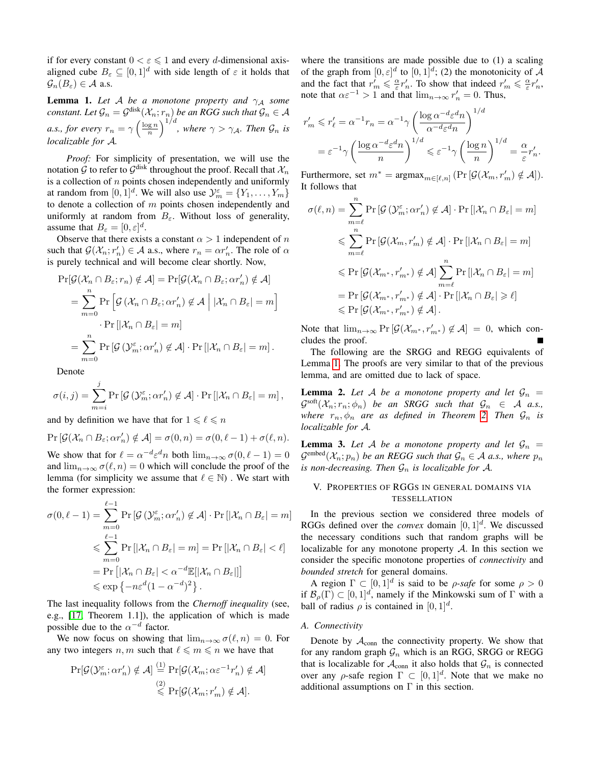if for every constant  $0 < \varepsilon \leq 1$  and every *d*-dimensional axisaligned cube  $B_{\varepsilon} \subseteq [0, 1]^d$  with side length of  $\varepsilon$  it holds that  $\mathcal{G}_n(B_\varepsilon) \in \mathcal{A}$  a.s.

<span id="page-3-1"></span>**Lemma 1.** Let A be a monotone property and  $\gamma_A$  some  $constant$ . Let  $\mathcal{G}_n = \mathcal{G}^{\text{disk}}(\mathcal{X}_n;r_n)$  be an RGG such that  $\mathcal{G}_n \in \mathcal{A}$ *a.s., for every*  $r_n = \gamma \left(\frac{\log n}{n}\right)^{1/d}$ , where  $\gamma > \gamma_{\mathcal{A}}$ . Then  $\mathcal{G}_n$  is *localizable for* A*.*

*Proof:* For simplicity of presentation, we will use the notation G to refer to  $\mathcal{G}^{\text{disk}}$  throughout the proof. Recall that  $\mathcal{X}_n$ is a collection of  $n$  points chosen independently and uniformly at random from  $[0,1]^d$ . We will also use  $\mathcal{Y}_m^{\varepsilon} = \{Y_1, \ldots, Y_m\}$ to denote a collection of  $m$  points chosen independently and uniformly at random from  $B_{\varepsilon}$ . Without loss of generality, assume that  $B_{\varepsilon} = [0, \varepsilon]^d$ .

Observe that there exists a constant  $\alpha > 1$  independent of n such that  $\mathcal{G}(\mathcal{X}_n; r'_n) \in \mathcal{A}$  a.s., where  $r_n = \alpha r'_n$ . The role of  $\alpha$ is purely technical and will become clear shortly. Now,

$$
\Pr[\mathcal{G}(\mathcal{X}_n \cap B_\varepsilon; r_n) \notin \mathcal{A}] = \Pr[\mathcal{G}(\mathcal{X}_n \cap B_\varepsilon; \alpha r_n') \notin \mathcal{A}]
$$
  
= 
$$
\sum_{m=0}^n \Pr[\mathcal{G}(\mathcal{X}_n \cap B_\varepsilon; \alpha r_n') \notin \mathcal{A} | |\mathcal{X}_n \cap B_\varepsilon| = m]
$$
  
• 
$$
\Pr[|\mathcal{X}_n \cap B_\varepsilon| = m]
$$
  
= 
$$
\sum_{m=0}^n \Pr[\mathcal{G}(\mathcal{Y}_m^{\varepsilon}; \alpha r_n') \notin \mathcal{A}] \cdot \Pr[|\mathcal{X}_n \cap B_\varepsilon| = m].
$$

Denote

$$
\sigma(i,j) = \sum_{m=i}^{j} \Pr\left[\mathcal{G}\left(\mathcal{Y}_{m}^{\varepsilon}; \alpha r_{n}'\right) \notin \mathcal{A}\right] \cdot \Pr\left[\left|\mathcal{X}_{n} \cap B_{\varepsilon}\right| = m\right],
$$

and by definition we have that for  $1 \leq \ell \leq n$ 

$$
\Pr\left[\mathcal{G}(\mathcal{X}_n \cap B_{\varepsilon}; \alpha r'_n) \notin \mathcal{A}\right] = \sigma(0, n) = \sigma(0, \ell - 1) + \sigma(\ell, n).
$$

We show that for  $\ell = \alpha^{-d} \varepsilon^d n$  both  $\lim_{n \to \infty} \sigma(0, \ell - 1) = 0$ and  $\lim_{n\to\infty} \sigma(\ell, n) = 0$  which will conclude the proof of the lemma (for simplicity we assume that  $\ell \in \mathbb{N}$ ). We start with the former expression:

$$
\sigma(0, \ell - 1) = \sum_{m=0}^{\ell-1} \Pr\left[\mathcal{G}(\mathcal{Y}_m^{\varepsilon}; \alpha r_n') \notin \mathcal{A}\right] \cdot \Pr\left[|\mathcal{X}_n \cap B_{\varepsilon}| = m\right]
$$
  
\$\leqslant \sum\_{m=0}^{\ell-1} \Pr\left[|\mathcal{X}\_n \cap B\_{\varepsilon}| = m\right] = \Pr\left[|\mathcal{X}\_n \cap B\_{\varepsilon}| < \ell\right]\$  
= \Pr\left[|\mathcal{X}\_n \cap B\_{\varepsilon}| < \alpha^{-d} \mathbb{E}[|\mathcal{X}\_n \cap B\_{\varepsilon}|]\right] \newline \leqslant \exp\left\{-n\varepsilon^d (1 - \alpha^{-d})^2\right\}.

The last inequality follows from the *Chernoff inequality* (see, e.g., [\[17,](#page-8-23) Theorem 1.1]), the application of which is made possible due to the  $\alpha^{-d}$  factor.

We now focus on showing that  $\lim_{n\to\infty} \sigma(\ell, n) = 0$ . For any two integers  $n, m$  such that  $\ell \leq m \leq n$  we have that

$$
\Pr[\mathcal{G}(\mathcal{Y}_m^{\varepsilon}; \alpha r'_n) \notin \mathcal{A}] \stackrel{(1)}{=} \Pr[\mathcal{G}(\mathcal{X}_m; \alpha \varepsilon^{-1} r'_n) \notin \mathcal{A}]
$$

$$
\stackrel{(2)}{\leq} \Pr[\mathcal{G}(\mathcal{X}_m; r'_m) \notin \mathcal{A}].
$$

where the transitions are made possible due to (1) a scaling of the graph from  $[0, \varepsilon]^d$  to  $[0, 1]^d$ ; (2) the monotonicity of A and the fact that  $r'_m \leq \frac{\alpha}{\varepsilon} r'_n$ . To show that indeed  $r'_m \leq \frac{\alpha}{\varepsilon} r'_n$ , note that  $\alpha \varepsilon^{-1} > 1$  and that  $\lim_{n \to \infty} r'_n = 0$ . Thus,

$$
r'_m \leqslant r'_\ell = \alpha^{-1} r_n = \alpha^{-1} \gamma \left( \frac{\log \alpha^{-d} \varepsilon^d n}{\alpha^{-d} \varepsilon^d n} \right)^{1/d}
$$
  
=  $\varepsilon^{-1} \gamma \left( \frac{\log \alpha^{-d} \varepsilon^d n}{n} \right)^{1/d} \leqslant \varepsilon^{-1} \gamma \left( \frac{\log n}{n} \right)^{1/d} = \frac{\alpha}{\varepsilon} r'_n.$ 

Furthermore, set  $m^* = \text{argmax}_{m \in [\ell,n]} (\Pr[\mathcal{G}(\mathcal{X}_m, r_m')] \notin \mathcal{A}]).$ It follows that

$$
\sigma(\ell, n) = \sum_{m=\ell}^{n} \Pr\left[\mathcal{G}\left(\mathcal{Y}_{m}^{\varepsilon}; \alpha r_{n}'\right) \notin \mathcal{A}\right] \cdot \Pr\left[\left|\mathcal{X}_{n} \cap B_{\varepsilon}\right| = m\right]
$$
  

$$
\leqslant \sum_{m=\ell}^{n} \Pr\left[\mathcal{G}(\mathcal{X}_{m}, r_{m}') \notin \mathcal{A}\right] \cdot \Pr\left[\left|\mathcal{X}_{n} \cap B_{\varepsilon}\right| = m\right]
$$
  

$$
\leqslant \Pr\left[\mathcal{G}(\mathcal{X}_{m^{*}}, r_{m^{*}}') \notin \mathcal{A}\right] \sum_{m=\ell}^{n} \Pr\left[\left|\mathcal{X}_{n} \cap B_{\varepsilon}\right| = m\right]
$$
  

$$
= \Pr\left[\mathcal{G}(\mathcal{X}_{m^{*}}, r_{m^{*}}') \notin \mathcal{A}\right] \cdot \Pr\left[\left|\mathcal{X}_{n} \cap B_{\varepsilon}\right| \geqslant \ell\right]
$$
  

$$
\leqslant \Pr\left[\mathcal{G}(\mathcal{X}_{m^{*}}, r_{m^{*}}') \notin \mathcal{A}\right].
$$

Note that  $\lim_{n\to\infty} \Pr \left[ \mathcal{G}(\mathcal{X}_{m^*}, r'_{m^*}) \notin \mathcal{A} \right] = 0$ , which concludes the proof.

The following are the SRGG and REGG equivalents of Lemma [1.](#page-3-1) The proofs are very similar to that of the previous lemma, and are omitted due to lack of space.

**Lemma 2.** Let A be a monotone property and let  $\mathcal{G}_n$  =  $\mathcal{G}^{\text{soft}}(\mathcal{X}_n; r_n; \phi_n)$  *be an SRGG such that*  $\mathcal{G}_n \in \mathcal{A}$  *a.s., where*  $r_n, \phi_n$  *are as defined in Theorem [2.](#page-2-7) Then*  $\mathcal{G}_n$  *is localizable for* A*.*

<span id="page-3-2"></span>**Lemma 3.** Let A be a monotone property and let  $\mathcal{G}_n$  =  $G^{\text{embed}}(\mathcal{X}_n; p_n)$  *be an REGG such that*  $\mathcal{G}_n \in \mathcal{A}$  *a.s., where*  $p_n$ *is non-decreasing. Then*  $\mathcal{G}_n$  *is localizable for* A.

# <span id="page-3-0"></span>V. PROPERTIES OF RGGS IN GENERAL DOMAINS VIA TESSELLATION

In the previous section we considered three models of RGGs defined over the *convex* domain  $[0, 1]^d$ . We discussed the necessary conditions such that random graphs will be localizable for any monotone property  $A$ . In this section we consider the specific monotone properties of *connectivity* and *bounded stretch* for general domains.

A region  $\Gamma \subset [0,1]^d$  is said to be *ρ-safe* for some  $\rho > 0$ if  $\mathcal{B}_{\rho}(\Gamma) \subset [0,1]^d$ , namely if the Minkowski sum of  $\Gamma$  with a ball of radius  $\rho$  is contained in  $[0, 1]^d$ .

#### *A. Connectivity*

Denote by  $A_{\text{conn}}$  the connectivity property. We show that for any random graph  $\mathcal{G}_n$  which is an RGG, SRGG or REGG that is localizable for  $\mathcal{A}_{conn}$  it also holds that  $\mathcal{G}_n$  is connected over any  $\rho$ -safe region  $\Gamma \subset [0,1]^d$ . Note that we make no additional assumptions on  $\Gamma$  in this section.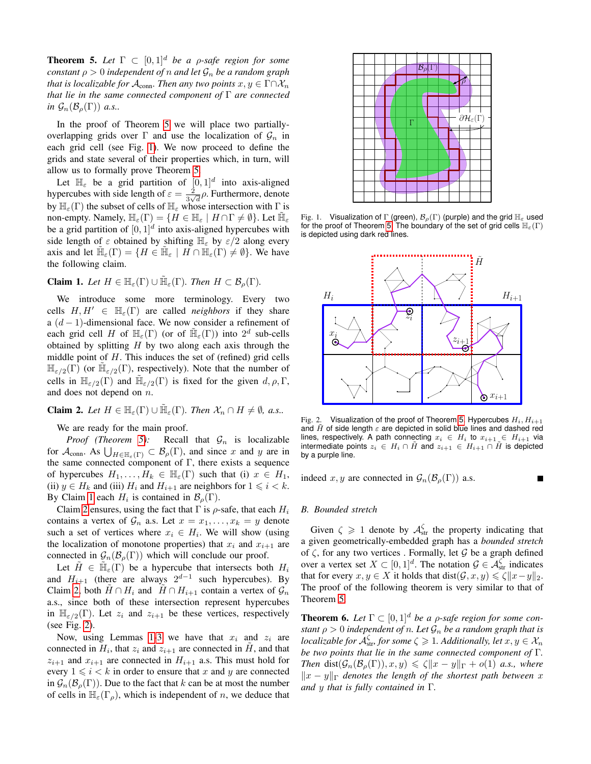<span id="page-4-0"></span>**Theorem 5.** Let  $\Gamma \subset [0,1]^d$  be a *ρ*-safe region for some *constant*  $\rho > 0$  *independent of n and let*  $\mathcal{G}_n$  *be a random graph that is localizable for*  $\mathcal{A}_{conn}$ *. Then any two points*  $x, y \in \Gamma \cap \mathcal{X}_n$ *that lie in the same connected component of* Γ *are connected in*  $\mathcal{G}_n(\mathcal{B}_\rho(\Gamma))$  *a.s..* 

In the proof of Theorem [5](#page-4-0) we will place two partiallyoverlapping grids over  $\Gamma$  and use the localization of  $\mathcal{G}_n$  in each grid cell (see Fig. [1\)](#page-4-1). We now proceed to define the grids and state several of their properties which, in turn, will allow us to formally prove Theorem [5.](#page-4-0)

Let  $\mathbb{H}_{\varepsilon}$  be a grid partition of  $[0,1]^d$  into axis-aligned hypercubes with side length of  $\varepsilon = \frac{2}{3}$  $\frac{2}{3\sqrt{d}}\rho$ . Furthermore, denote by  $\mathbb{H}_{\varepsilon}(\Gamma)$  the subset of cells of  $\mathbb{H}_{\varepsilon}$  whose intersection with  $\Gamma$  is non-empty. Namely,  $\mathbb{H}_{\varepsilon}(\Gamma) = \{ H \in \mathbb{H}_{\varepsilon} \mid H \cap \Gamma \neq \emptyset \}$ . Let  $\tilde{\mathbb{H}}_{\varepsilon}$ be a grid partition of  $[0, 1]^d$  into axis-aligned hypercubes with side length of  $\varepsilon$  obtained by shifting  $\mathbb{H}_{\varepsilon}$  by  $\varepsilon/2$  along every axis and let  $\mathbb{H}_{\varepsilon}(\Gamma) = \{ H \in \mathbb{H}_{\varepsilon} \mid H \cap \mathbb{H}_{\varepsilon}(\Gamma) \neq \emptyset \}$ . We have the following claim.

<span id="page-4-2"></span>**Claim 1.** Let  $H \in \mathbb{H}_{\varepsilon}(\Gamma) \cup \tilde{\mathbb{H}}_{\varepsilon}(\Gamma)$ . Then  $H \subset \mathcal{B}_{\rho}(\Gamma)$ .

We introduce some more terminology. Every two cells  $H, H' \in \mathbb{H}_{\epsilon}(\Gamma)$  are called *neighbors* if they share a  $(d-1)$ -dimensional face. We now consider a refinement of each grid cell H of  $\mathbb{H}_{\varepsilon}(\Gamma)$  (or of  $\tilde{\mathbb{H}}_{\varepsilon}(\Gamma)$ ) into  $2^d$  sub-cells obtained by splitting  $H$  by two along each axis through the middle point of  $H$ . This induces the set of (refined) grid cells  $\mathbb{H}_{\varepsilon/2}(\Gamma)$  (or  $\tilde{\mathbb{H}}_{\varepsilon/2}(\Gamma)$ , respectively). Note that the number of cells in  $\mathbb{H}_{\varepsilon/2}(\Gamma)$  and  $\mathbb{\tilde{H}}_{\varepsilon/2}(\Gamma)$  is fixed for the given  $d, \rho, \Gamma$ , and does not depend on  $n$ .

<span id="page-4-3"></span>**Claim 2.** Let  $H \in \mathbb{H}_{\varepsilon}(\Gamma) \cup \tilde{\mathbb{H}}_{\varepsilon}(\Gamma)$ . Then  $\mathcal{X}_n \cap H \neq \emptyset$ , a.s..

We are ready for the main proof.

*Proof (Theorem [5\)](#page-4-0):* Recall that  $G_n$  is localizable for  $\mathcal{A}_{conn}$ . As  $\bigcup_{H \in \mathbb{H}_{\varepsilon}(\Gamma)} \subset \mathcal{B}_{\rho}(\Gamma)$ , and since x and y are in the same connected component of  $\Gamma$ , there exists a sequence of hypercubes  $H_1, \ldots, H_k \in \mathbb{H}_{\varepsilon}(\Gamma)$  such that (i)  $x \in H_1$ , (ii)  $y \in H_k$  and (iii)  $H_i$  and  $H_{i+1}$  are neighbors for  $1 \leq i \leq k$ . By Claim [1](#page-4-2) each  $H_i$  is contained in  $\mathcal{B}_{\rho}(\Gamma)$ .

Claim [2](#page-4-3) ensures, using the fact that  $\Gamma$  is  $\rho$ -safe, that each  $H_i$ contains a vertex of  $\mathcal{G}_n$  a.s. Let  $x = x_1, \ldots, x_k = y$  denote such a set of vertices where  $x_i \in H_i$ . We will show (using the localization of monotone properties) that  $x_i$  and  $x_{i+1}$  are connected in  $\mathcal{G}_n(\mathcal{B}_\rho(\Gamma))$  which will conclude our proof.

Let  $\tilde{H} \in \tilde{\mathbb{H}}_{\varepsilon}(\Gamma)$  be a hypercube that intersects both  $H_i$ and  $H_{i+1}$  (there are always  $2^{d-1}$  such hypercubes). By Claim [2,](#page-4-3) both  $H \cap H_i$  and  $H \cap H_{i+1}$  contain a vertex of  $\mathcal{G}_n$ a.s., since both of these intersection represent hypercubes in  $\mathbb{H}_{\varepsilon/2}(\Gamma)$ . Let  $z_i$  and  $z_{i+1}$  be these vertices, respectively (see Fig. [2\)](#page-4-4).

Now, using Lemmas [1](#page-3-1)[-3](#page-3-2) we have that  $x_i$  and  $z_i$  are connected in  $H_i$ , that  $z_i$  and  $z_{i+1}$  are connected in  $\tilde{H}$ , and that  $z_{i+1}$  and  $x_{i+1}$  are connected in  $H_{i+1}$  a.s. This must hold for every  $1 \leq i \leq k$  in order to ensure that x and y are connected in  $\mathcal{G}_n(\mathcal{B}_\rho(\Gamma))$ . Due to the fact that k can be at most the number of cells in  $\mathbb{H}_{\varepsilon}(\Gamma_{\rho})$ , which is independent of n, we deduce that



<span id="page-4-1"></span>Fig. 1. Visualization of  $\Gamma$  (green),  $\mathcal{B}_{\rho}(\Gamma)$  (purple) and the grid  $\mathbb{H}_{\varepsilon}$  used for the proof of Theorem [5.](#page-4-0) The boundary of the set of grid cells  $\mathbb{H}_{\varepsilon}(\Gamma)$ is depicted using dark red lines.



<span id="page-4-4"></span>Fig. 2. Visualization of the proof of Theorem [5.](#page-4-0) Hypercubes  $H_i, H_{i+1}$ and  $\tilde{H}$  of side length  $\varepsilon$  are depicted in solid blue lines and dashed red lines, respectively. A path connecting  $x_i \in H_i$  to  $x_{i+1} \in H_{i+1}$  via intermediate points  $z_i \in H_i \cap \tilde{H}$  and  $z_{i+1} \in H_{i+1} \cap H$  is depicted by a purple line.

indeed x, y are connected in  $\mathcal{G}_n(\mathcal{B}_o(\Gamma))$  a.s.

#### *B. Bounded stretch*

Given  $\zeta \geq 1$  denote by  $\mathcal{A}_{str}^{\zeta}$  the property indicating that a given geometrically-embedded graph has a *bounded stretch* of  $\zeta$ , for any two vertices. Formally, let  $\mathcal G$  be a graph defined over a vertex set  $X \subset [0,1]^d$ . The notation  $\mathcal{G} \in \mathcal{A}_{str}^{\zeta}$  indicates that for every  $x, y \in X$  it holds that dist $(\mathcal{G}, x, y) \leq \zeta ||x-y||_2$ . The proof of the following theorem is very similar to that of Theorem [5.](#page-4-0)

<span id="page-4-5"></span>**Theorem 6.** Let  $\Gamma \subset [0,1]^d$  be a *ρ*-safe region for some con*stant*  $\rho > 0$  *independent of n. Let*  $\mathcal{G}_n$  *be a random graph that is localizable for*  $\mathcal{A}_{str}^{\zeta}$  *for some*  $\zeta \geqslant 1$ *. Additionally, let*  $x, y \in \mathcal{X}_n$ *be two points that lie in the same connected component of* Γ*. Then* dist $(\mathcal{G}_n(\mathcal{B}_o(\Gamma)), x, y) \leq \zeta ||x - y||_{\Gamma} + o(1)$  *a.s., where*  $||x - y||_{\Gamma}$  *denotes the length of the shortest path between* x *and* y *that is fully contained in* Γ*.*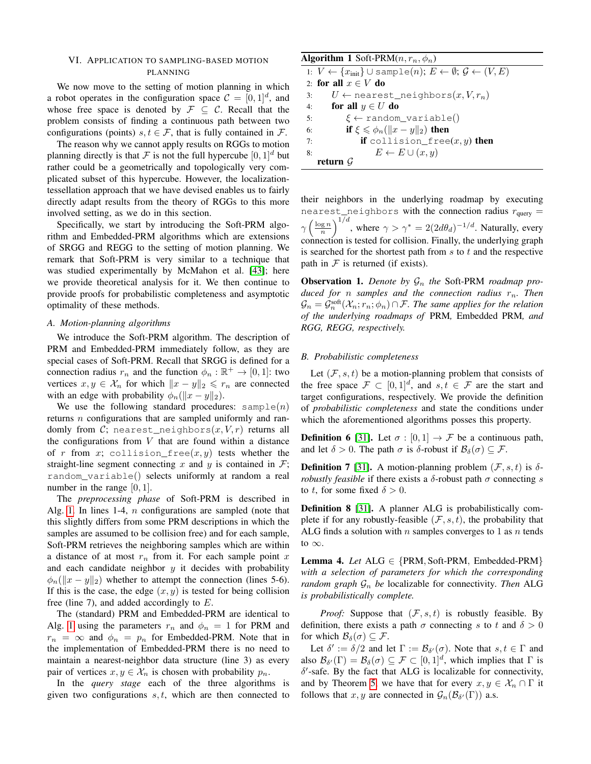# <span id="page-5-0"></span>VI. APPLICATION TO SAMPLING-BASED MOTION PLANNING

We now move to the setting of motion planning in which a robot operates in the configuration space  $C = [0, 1]^d$ , and whose free space is denoted by  $\mathcal{F} \subseteq \mathcal{C}$ . Recall that the problem consists of finding a continuous path between two configurations (points)  $s, t \in \mathcal{F}$ , that is fully contained in  $\mathcal{F}$ .

The reason why we cannot apply results on RGGs to motion planning directly is that F is not the full hypercube  $[0, 1]^d$  but rather could be a geometrically and topologically very complicated subset of this hypercube. However, the localizationtessellation approach that we have devised enables us to fairly directly adapt results from the theory of RGGs to this more involved setting, as we do in this section.

Specifically, we start by introducing the Soft-PRM algorithm and Embedded-PRM algorithms which are extensions of SRGG and REGG to the setting of motion planning. We remark that Soft-PRM is very similar to a technique that was studied experimentally by McMahon et al. [\[43\]](#page-9-27); here we provide theoretical analysis for it. We then continue to provide proofs for probabilistic completeness and asymptotic optimality of these methods.

## *A. Motion-planning algorithms*

We introduce the Soft-PRM algorithm. The description of PRM and Embedded-PRM immediately follow, as they are special cases of Soft-PRM. Recall that SRGG is defined for a connection radius  $r_n$  and the function  $\phi_n : \mathbb{R}^+ \to [0, 1]$ : two vertices  $x, y \in \mathcal{X}_n$  for which  $||x - y||_2 \le r_n$  are connected with an edge with probability  $\phi_n(\Vert x - y \Vert_2)$ .

We use the following standard procedures:  $\text{sample}(n)$ returns  $n$  configurations that are sampled uniformly and randomly from C; nearest\_neighbors $(x, V, r)$  returns all the configurations from  $V$  that are found within a distance of r from x; collision free(x, y) tests whether the straight-line segment connecting x and y is contained in  $\mathcal{F}$ ; random\_variable() selects uniformly at random a real number in the range  $[0, 1]$ .

The *preprocessing phase* of Soft-PRM is described in Alg. [1.](#page-5-1) In lines 1-4,  $n$  configurations are sampled (note that this slightly differs from some PRM descriptions in which the samples are assumed to be collision free) and for each sample, Soft-PRM retrieves the neighboring samples which are within a distance of at most  $r_n$  from it. For each sample point x and each candidate neighbor  $y$  it decides with probability  $\phi_n(\Vert x - y \Vert_2)$  whether to attempt the connection (lines 5-6). If this is the case, the edge  $(x, y)$  is tested for being collision free (line 7), and added accordingly to  $E$ .

The (standard) PRM and Embedded-PRM are identical to Alg. [1](#page-5-1) using the parameters  $r_n$  and  $\phi_n = 1$  for PRM and  $r_n = \infty$  and  $\phi_n = p_n$  for Embedded-PRM. Note that in the implementation of Embedded-PRM there is no need to maintain a nearest-neighbor data structure (line 3) as every pair of vertices  $x, y \in \mathcal{X}_n$  is chosen with probability  $p_n$ .

In the *query stage* each of the three algorithms is given two configurations  $s, t$ , which are then connected to

<span id="page-5-1"></span>

| <b>Algorithm 1</b> Soft-PRM $(n, r_n, \phi_n)$                                                                     |
|--------------------------------------------------------------------------------------------------------------------|
| 1: $V \leftarrow \{x_{\text{init}}\} \cup \text{sample}(n); E \leftarrow \emptyset; \mathcal{G} \leftarrow (V, E)$ |
| 2: for all $x \in V$ do                                                                                            |
| $U \leftarrow$ nearest_neighbors $(x, V, r_n)$<br>3:                                                               |
| for all $y \in U$ do<br>4:                                                                                         |
| $\xi \leftarrow$ random_variable()<br>5:                                                                           |
| if $\xi \leqslant \phi_n(\ x-y\ _2)$ then<br>6:                                                                    |
| <b>if</b> collision free $(x, y)$ then<br>7:                                                                       |
| $E \leftarrow E \cup (x, y)$<br>8:                                                                                 |
| return $G$                                                                                                         |

their neighbors in the underlying roadmap by executing nearest\_neighbors with the connection radius  $r_{query} =$  $\gamma \left(\frac{\log n}{n}\right)^{1/d}$ , where  $\gamma > \gamma^* = 2(2d\theta_d)^{-1/d}$ . Naturally, every connection is tested for collision. Finally, the underlying graph is searched for the shortest path from  $s$  to  $t$  and the respective path in  $F$  is returned (if exists).

**Observation 1.** Denote by  $\mathcal{G}_n$  the Soft-PRM roadmap pro*duced for n samples and the connection radius*  $r_n$ *. Then*  $\mathcal{G}_n = \mathcal{G}_n^{\text{soft}}(\mathcal{X}_n; r_n; \phi_n) \cap \mathcal{F}$ . The same applies for the relation *of the underlying roadmaps of* PRM*,* Embedded PRM*, and RGG, REGG, respectively.*

## *B. Probabilistic completeness*

Let  $(F, s, t)$  be a motion-planning problem that consists of the free space  $\mathcal{F} \subset [0,1]^d$ , and  $s, t \in \mathcal{F}$  are the start and target configurations, respectively. We provide the definition of *probabilistic completeness* and state the conditions under which the aforementioned algorithms posses this property.

**Definition 6** [\[31\]](#page-9-0). Let  $\sigma : [0, 1] \rightarrow \mathcal{F}$  be a continuous path, and let  $\delta > 0$ . The path  $\sigma$  is  $\delta$ -robust if  $\mathcal{B}_{\delta}(\sigma) \subseteq \mathcal{F}$ .

**Definition 7** [\[31\]](#page-9-0). A motion-planning problem  $(\mathcal{F}, s, t)$  is  $\delta$ *robustly feasible* if there exists a  $\delta$ -robust path  $\sigma$  connecting s to t, for some fixed  $\delta > 0$ .

Definition 8 [\[31\]](#page-9-0). A planner ALG is probabilistically complete if for any robustly-feasible  $(\mathcal{F}, s, t)$ , the probability that ALG finds a solution with n samples converges to 1 as  $n$  tends to  $\infty$ .

<span id="page-5-2"></span>Lemma 4. *Let* ALG ∈ {PRM, Soft-PRM, Embedded-PRM} *with a selection of parameters for which the corresponding random graph*  $\mathcal{G}_n$  *be* localizable for connectivity. Then ALG *is probabilistically complete.*

*Proof:* Suppose that  $(\mathcal{F}, s, t)$  is robustly feasible. By definition, there exists a path  $\sigma$  connecting s to t and  $\delta > 0$ for which  $\mathcal{B}_{\delta}(\sigma) \subseteq \mathcal{F}$ .

Let  $\delta' := \delta/2$  and let  $\Gamma := \mathcal{B}_{\delta'}(\sigma)$ . Note that  $s, t \in \Gamma$  and also  $\mathcal{B}_{\delta}(\Gamma) = \mathcal{B}_{\delta}(\sigma) \subseteq \mathcal{F} \subset [0,1]^d$ , which implies that  $\Gamma$  is  $\delta'$ -safe. By the fact that ALG is localizable for connectivity, and by Theorem [5,](#page-4-0) we have that for every  $x, y \in \mathcal{X}_n \cap \Gamma$  it follows that  $x, y$  are connected in  $\mathcal{G}_n(\mathcal{B}_{\delta'}(\Gamma))$  a.s.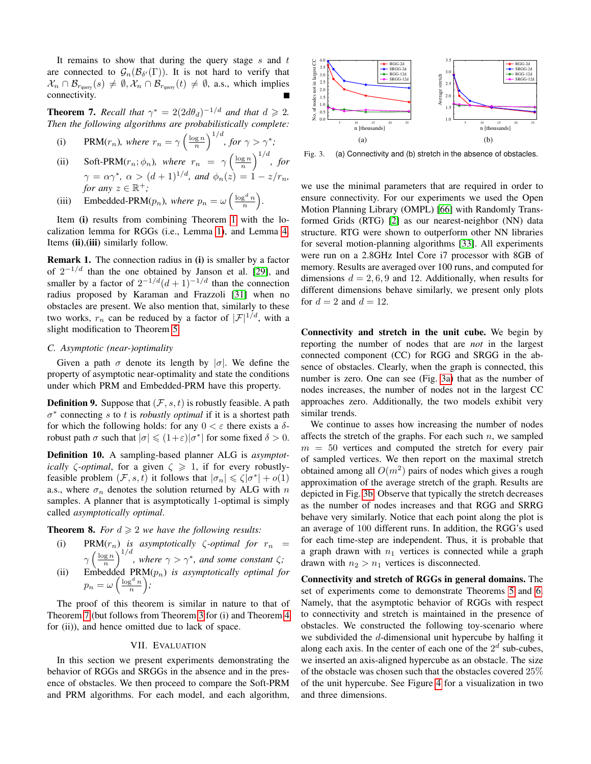It remains to show that during the query stage s and  $t$ are connected to  $\mathcal{G}_n(\mathcal{B}_{\delta'}(\Gamma))$ . It is not hard to verify that  $\mathcal{X}_n \cap \mathcal{B}_{r_{\text{query}}}(s) \neq \emptyset, \mathcal{X}_n \cap \mathcal{B}_{r_{\text{query}}}(t) \neq \emptyset$ , a.s., which implies connectivity.

<span id="page-6-1"></span>**Theorem 7.** *Recall that*  $\gamma^* = 2(2d\theta_d)^{-1/d}$  *and that*  $d \ge 2$ *. Then the following algorithms are probabilistically complete:*

(i) PRM(
$$
r_n
$$
), where  $r_n = \gamma \left(\frac{\log n}{n}\right)^{1/d}$ , for  $\gamma > \gamma^*$ ;

- (ii) Soft-PRM( $r_n$ ;  $\phi_n$ ), where  $r_n = \gamma \left(\frac{\log n}{n}\right)^{1/d}$ , for  $\gamma = \alpha \gamma^*$ ,  $\alpha > (d+1)^{1/d}$ , and  $\phi_n(z) = 1 - z/r_n$ , *for any*  $z \in \mathbb{R}^+$ ;
- (iii) Embedded-PRM( $p_n$ ), where  $p_n = \omega \left( \frac{\log^d n}{n} \right)$ .

Item (i) results from combining Theorem [1](#page-2-3) with the localization lemma for RGGs (i.e., Lemma [1\)](#page-3-1), and Lemma [4.](#page-5-2) Items (ii), (iii) similarly follow.

Remark 1. The connection radius in (i) is smaller by a factor of  $2^{-1/d}$  than the one obtained by Janson et al. [\[29\]](#page-8-3), and smaller by a factor of  $2^{-1/d} (d+1)^{-1/d}$  than the connection radius proposed by Karaman and Frazzoli [\[31\]](#page-9-0) when no obstacles are present. We also mention that, similarly to these two works,  $r_n$  can be reduced by a factor of  $|\mathcal{F}|^{1/d}$ , with a slight modification to Theorem [5.](#page-4-0) Then the following algorithms are probabilistically complete:<br>
(i) PRM( $r_n$ ), where  $r_n = \gamma \left(\frac{\log n}{n}\right)^{1/4}$ , for  $\gamma > \gamma^*$ ;<br>
(ii) Soft-PRM  $(r_n;\phi_n)$ , where  $r_n = \gamma \left(\frac{\log n}{n}\right)^{1/4}$ , for  $\gamma > \gamma^*$ ;<br>  $\gamma = \alpha \gamma^*, \alpha > (d+1)^{1/4},$ 

#### *C. Asymptotic (near-)optimality*

Given a path  $\sigma$  denote its length by  $|\sigma|$ . We define the property of asymptotic near-optimality and state the conditions under which PRM and Embedded-PRM have this property.

**Definition 9.** Suppose that  $(\mathcal{F}, s, t)$  is robustly feasible. A path  $\sigma^*$  connecting s to t is *robustly optimal* if it is a shortest path for which the following holds: for any  $0 < \varepsilon$  there exists a  $\delta$ robust path  $\sigma$  such that  $|\sigma| \leq (1+\varepsilon)|\sigma^*|$  for some fixed  $\delta > 0$ .

Definition 10. A sampling-based planner ALG is *asymptotically*  $\zeta$ -*optimal*, for a given  $\zeta \geq 1$ , if for every robustlyfeasible problem  $(\mathcal{F}, s, t)$  it follows that  $|\sigma_n| \leq \zeta |\sigma^*| + o(1)$ a.s., where  $\sigma_n$  denotes the solution returned by ALG with n samples. A planner that is asymptotically 1-optimal is simply called *asymptotically optimal*.

**Theorem 8.** *For*  $d \geq 2$  *we have the following results:* 

(i) PRM $(r_n)$  *is asymptotically*  $\zeta$ *-optimal for*  $r_n$  =  $\gamma \left(\frac{\log n}{n}\right)^{1/d}$ , where  $\gamma > \gamma^*$ , and some constant  $\zeta$ ; (ii) Embedded  $PRM(p_n)$  *is asymptotically optimal for*  $p_n = \omega\left(\frac{\log^d n}{n}\right);$ 

The proof of this theorem is similar in nature to that of Theorem [7](#page-6-1) (but follows from Theorem [3](#page-2-8) for (i) and Theorem [4](#page-2-9) for (ii)), and hence omitted due to lack of space.

#### VII. EVALUATION

<span id="page-6-0"></span>In this section we present experiments demonstrating the behavior of RGGs and SRGGs in the absence and in the presence of obstacles. We then proceed to compare the Soft-PRM

<span id="page-6-2"></span>

<span id="page-6-3"></span>Fig. 3. (a) Connectivity and (b) stretch in the absence of obstacles.

we use the minimal parameters that are required in order to ensure connectivity. For our experiments we used the Open Motion Planning Library (OMPL) [\[66\]](#page-10-10) with Randomly Transformed Grids (RTG) [\[2\]](#page-8-24) as our nearest-neighbor (NN) data structure. RTG were shown to outperform other NN libraries for several motion-planning algorithms [\[33\]](#page-9-28). All experiments were run on a 2.8GHz Intel Core i7 processor with 8GB of memory. Results are averaged over 100 runs, and computed for dimensions  $d = 2, 6, 9$  and 12. Additionally, when results for different dimensions behave similarly, we present only plots for  $d = 2$  and  $d = 12$ .

Connectivity and stretch in the unit cube. We begin by reporting the number of nodes that are *not* in the largest connected component (CC) for RGG and SRGG in the absence of obstacles. Clearly, when the graph is connected, this number is zero. One can see (Fig. [3a\)](#page-6-2) that as the number of nodes increases, the number of nodes not in the largest CC approaches zero. Additionally, the two models exhibit very similar trends.

We continue to asses how increasing the number of nodes affects the stretch of the graphs. For each such  $n$ , we sampled  $m = 50$  vertices and computed the stretch for every pair of sampled vertices. We then report on the maximal stretch obtained among all  $O(m^2)$  pairs of nodes which gives a rough approximation of the average stretch of the graph. Results are depicted in Fig. [3b.](#page-6-3) Observe that typically the stretch decreases as the number of nodes increases and that RGG and SRRG behave very similarly. Notice that each point along the plot is an average of 100 different runs. In addition, the RGG's used for each time-step are independent. Thus, it is probable that a graph drawn with  $n_1$  vertices is connected while a graph drawn with  $n_2 > n_1$  vertices is disconnected.

Connectivity and stretch of RGGs in general domains. The set of experiments come to demonstrate Theorems [5](#page-4-0) and [6.](#page-4-5) Namely, that the asymptotic behavior of RGGs with respect to connectivity and stretch is maintained in the presence of obstacles. We constructed the following toy-scenario where we subdivided the d-dimensional unit hypercube by halfing it along each axis. In the center of each one of the  $2<sup>d</sup>$  sub-cubes, we inserted an axis-aligned hypercube as an obstacle. The size of the obstacle was chosen such that the obstacles covered 25% of the unit hypercube. See Figure [4](#page-7-1) for a visualization in two and three dimensions.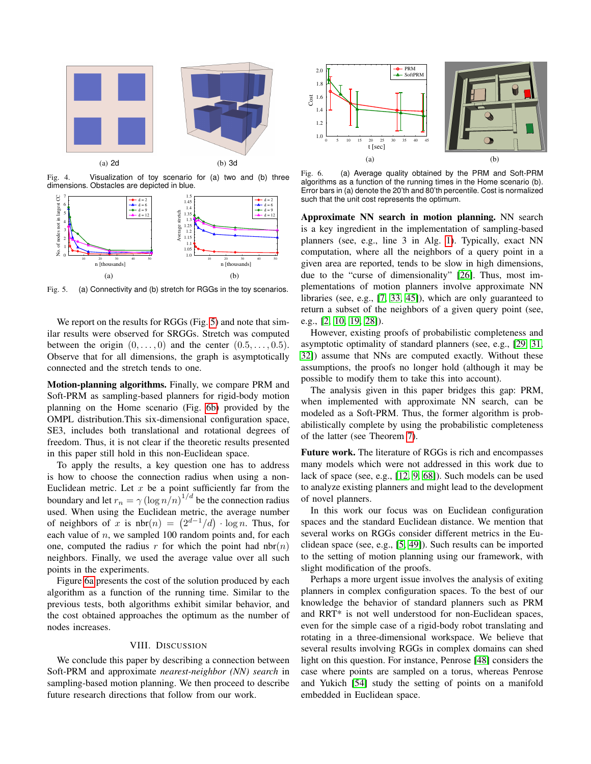

<span id="page-7-1"></span>Fig. 4. Visualization of toy scenario for (a) two and (b) three dimensions. Obstacles are depicted in blue.



<span id="page-7-2"></span>Fig. 5. (a) Connectivity and (b) stretch for RGGs in the toy scenarios.

We report on the results for RGGs (Fig. [5\)](#page-7-2) and note that similar results were observed for SRGGs. Stretch was computed between the origin  $(0, \ldots, 0)$  and the center  $(0.5, \ldots, 0.5)$ . Observe that for all dimensions, the graph is asymptotically connected and the stretch tends to one.

Motion-planning algorithms. Finally, we compare PRM and Soft-PRM as sampling-based planners for rigid-body motion planning on the Home scenario (Fig. [6b\)](#page-7-3) provided by the OMPL distribution.This six-dimensional configuration space, SE3, includes both translational and rotational degrees of freedom. Thus, it is not clear if the theoretic results presented in this paper still hold in this non-Euclidean space.

To apply the results, a key question one has to address is how to choose the connection radius when using a non-Euclidean metric. Let  $x$  be a point sufficiently far from the boundary and let  $r_n = \gamma (\log n/n)^{1/d}$  be the connection radius used. When using the Euclidean metric, the average number of neighbors of x is  $nbr(n) = (2^{d-1}/d) \cdot \log n$ . Thus, for each value of  $n$ , we sampled 100 random points and, for each one, computed the radius r for which the point had  $n b r(n)$ neighbors. Finally, we used the average value over all such points in the experiments. Fig. 4. View the state of the state of the state of the state of the state of the state of the state of the state of the state of the state of the state of the state of the state of the state of the state of the state of

Figure [6a](#page-7-4) presents the cost of the solution produced by each algorithm as a function of the running time. Similar to the previous tests, both algorithms exhibit similar behavior, and the cost obtained approaches the optimum as the number of nodes increases.

#### VIII. DISCUSSION

<span id="page-7-0"></span>We conclude this paper by describing a connection between Soft-PRM and approximate *nearest-neighbor (NN) search* in sampling-based motion planning. We then proceed to describe

<span id="page-7-4"></span>

<span id="page-7-3"></span>Fig. 6. (a) Average quality obtained by the PRM and Soft-PRM algorithms as a function of the running times in the Home scenario (b). Error bars in (a) denote the 20'th and 80'th percentile. Cost is normalized such that the unit cost represents the optimum.

Approximate NN search in motion planning. NN search is a key ingredient in the implementation of sampling-based planners (see, e.g., line 3 in Alg. [1\)](#page-5-1). Typically, exact NN computation, where all the neighbors of a query point in a given area are reported, tends to be slow in high dimensions, due to the "curse of dimensionality" [\[26\]](#page-8-25). Thus, most implementations of motion planners involve approximate NN libraries (see, e.g., [\[7,](#page-8-26) [33,](#page-9-28) [45\]](#page-9-29)), which are only guaranteed to return a subset of the neighbors of a given query point (see, e.g., [\[2,](#page-8-24) [10,](#page-8-27) [19,](#page-8-28) [28\]](#page-8-29)).

However, existing proofs of probabilistic completeness and asymptotic optimality of standard planners (see, e.g., [\[29,](#page-8-3) [31,](#page-9-0) [32\]](#page-9-5)) assume that NNs are computed exactly. Without these assumptions, the proofs no longer hold (although it may be possible to modify them to take this into account).

The analysis given in this paper bridges this gap: PRM, when implemented with approximate NN search, can be modeled as a Soft-PRM. Thus, the former algorithm is probabilistically complete by using the probabilistic completeness of the latter (see Theorem [7\)](#page-6-1).

Future work. The literature of RGGs is rich and encompasses many models which were not addressed in this work due to lack of space (see, e.g., [\[12,](#page-8-20) [9,](#page-8-19) [68\]](#page-10-9)). Such models can be used to analyze existing planners and might lead to the development of novel planners.

In this work our focus was on Euclidean configuration spaces and the standard Euclidean distance. We mention that several works on RGGs consider different metrics in the Euclidean space (see, e.g., [\[5,](#page-8-12) [49\]](#page-9-19)). Such results can be imported to the setting of motion planning using our framework, with slight modification of the proofs.

Perhaps a more urgent issue involves the analysis of exiting planners in complex configuration spaces. To the best of our knowledge the behavior of standard planners such as PRM and RRT\* is not well understood for non-Euclidean spaces, even for the simple case of a rigid-body robot translating and rotating in a three-dimensional workspace. We believe that several results involving RGGs in complex domains can shed light on this question. For instance, Penrose [\[48\]](#page-9-18) considers the case where points are sampled on a torus, whereas Penrose and Yukich [\[54\]](#page-9-30) study the setting of points on a manifold embedded in Euclidean space.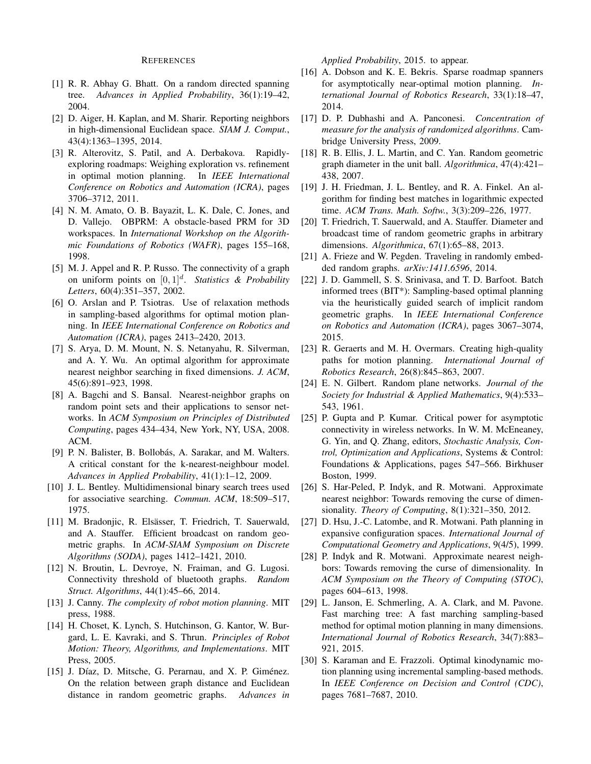#### REFERENCES

- <span id="page-8-22"></span>[1] R. R. Abhay G. Bhatt. On a random directed spanning tree. *Advances in Applied Probability*, 36(1):19–42, 2004.
- <span id="page-8-24"></span>[2] D. Aiger, H. Kaplan, and M. Sharir. Reporting neighbors in high-dimensional Euclidean space. *SIAM J. Comput.*, 43(4):1363–1395, 2014.
- <span id="page-8-7"></span>[3] R. Alterovitz, S. Patil, and A. Derbakova. Rapidlyexploring roadmaps: Weighing exploration vs. refinement in optimal motion planning. In *IEEE International Conference on Robotics and Automation (ICRA)*, pages 3706–3712, 2011.
- <span id="page-8-5"></span>[4] N. M. Amato, O. B. Bayazit, L. K. Dale, C. Jones, and D. Vallejo. OBPRM: A obstacle-based PRM for 3D workspaces. In *International Workshop on the Algorithmic Foundations of Robotics (WAFR)*, pages 155–168, 1998.
- <span id="page-8-12"></span>[5] M. J. Appel and R. P. Russo. The connectivity of a graph on uniform points on  $[0,1]^d$ . *Statistics & Probability Letters*, 60(4):351–357, 2002.
- <span id="page-8-8"></span>[6] O. Arslan and P. Tsiotras. Use of relaxation methods in sampling-based algorithms for optimal motion planning. In *IEEE International Conference on Robotics and Automation (ICRA)*, pages 2413–2420, 2013.
- <span id="page-8-26"></span>[7] S. Arya, D. M. Mount, N. S. Netanyahu, R. Silverman, and A. Y. Wu. An optimal algorithm for approximate nearest neighbor searching in fixed dimensions. *J. ACM*, 45(6):891–923, 1998.
- <span id="page-8-18"></span>[8] A. Bagchi and S. Bansal. Nearest-neighbor graphs on random point sets and their applications to sensor networks. In *ACM Symposium on Principles of Distributed Computing*, pages 434–434, New York, NY, USA, 2008. ACM.
- <span id="page-8-19"></span>[9] P. N. Balister, B. Bollobás, A. Sarakar, and M. Walters. A critical constant for the k-nearest-neighbour model. *Advances in Applied Probability*, 41(1):1–12, 2009.
- <span id="page-8-27"></span>[10] J. L. Bentley. Multidimensional binary search trees used for associative searching. *Commun. ACM*, 18:509–517, 1975.
- <span id="page-8-14"></span>[11] M. Bradonjic, R. Elsässer, T. Friedrich, T. Sauerwald, and A. Stauffer. Efficient broadcast on random geometric graphs. In *ACM-SIAM Symposium on Discrete Algorithms (SODA)*, pages 1412–1421, 2010.
- <span id="page-8-20"></span>[12] N. Broutin, L. Devroye, N. Fraiman, and G. Lugosi. Connectivity threshold of bluetooth graphs. *Random Struct. Algorithms*, 44(1):45–66, 2014.
- <span id="page-8-1"></span>[13] J. Canny. *The complexity of robot motion planning*. MIT press, 1988.
- <span id="page-8-0"></span>[14] H. Choset, K. Lynch, S. Hutchinson, G. Kantor, W. Burgard, L. E. Kavraki, and S. Thrun. *Principles of Robot Motion: Theory, Algorithms, and Implementations*. MIT Press, 2005.
- <span id="page-8-15"></span>[15] J. Díaz, D. Mitsche, G. Perarnau, and X. P. Giménez. On the relation between graph distance and Euclidean distance in random geometric graphs. *Advances in*

*Applied Probability*, 2015. to appear.

- <span id="page-8-9"></span>[16] A. Dobson and K. E. Bekris. Sparse roadmap spanners for asymptotically near-optimal motion planning. *International Journal of Robotics Research*, 33(1):18–47, 2014.
- <span id="page-8-23"></span>[17] D. P. Dubhashi and A. Panconesi. *Concentration of measure for the analysis of randomized algorithms*. Cambridge University Press, 2009.
- <span id="page-8-16"></span>[18] R. B. Ellis, J. L. Martin, and C. Yan. Random geometric graph diameter in the unit ball. *Algorithmica*, 47(4):421– 438, 2007.
- <span id="page-8-28"></span>[19] J. H. Friedman, J. L. Bentley, and R. A. Finkel. An algorithm for finding best matches in logarithmic expected time. *ACM Trans. Math. Softw.*, 3(3):209–226, 1977.
- <span id="page-8-17"></span>[20] T. Friedrich, T. Sauerwald, and A. Stauffer. Diameter and broadcast time of random geometric graphs in arbitrary dimensions. *Algorithmica*, 67(1):65–88, 2013.
- <span id="page-8-21"></span>[21] A. Frieze and W. Pegden. Traveling in randomly embedded random graphs. *arXiv:1411.6596*, 2014.
- <span id="page-8-2"></span>[22] J. D. Gammell, S. S. Srinivasa, and T. D. Barfoot. Batch informed trees (BIT\*): Sampling-based optimal planning via the heuristically guided search of implicit random geometric graphs. In *IEEE International Conference on Robotics and Automation (ICRA)*, pages 3067–3074, 2015.
- <span id="page-8-6"></span>[23] R. Geraerts and M. H. Overmars. Creating high-quality paths for motion planning. *International Journal of Robotics Research*, 26(8):845–863, 2007.
- <span id="page-8-11"></span>[24] E. N. Gilbert. Random plane networks. *Journal of the Society for Industrial & Applied Mathematics*, 9(4):533– 543, 1961.
- <span id="page-8-13"></span>[25] P. Gupta and P. Kumar. Critical power for asymptotic connectivity in wireless networks. In W. M. McEneaney, G. Yin, and Q. Zhang, editors, *Stochastic Analysis, Control, Optimization and Applications*, Systems & Control: Foundations & Applications, pages 547–566. Birkhuser Boston, 1999.
- <span id="page-8-25"></span>[26] S. Har-Peled, P. Indyk, and R. Motwani. Approximate nearest neighbor: Towards removing the curse of dimensionality. *Theory of Computing*, 8(1):321–350, 2012.
- <span id="page-8-4"></span>[27] D. Hsu, J.-C. Latombe, and R. Motwani. Path planning in expansive configuration spaces. *International Journal of Computational Geometry and Applications*, 9(4/5), 1999.
- <span id="page-8-29"></span>[28] P. Indyk and R. Motwani. Approximate nearest neighbors: Towards removing the curse of dimensionality. In *ACM Symposium on the Theory of Computing (STOC)*, pages 604–613, 1998.
- <span id="page-8-3"></span>[29] L. Janson, E. Schmerling, A. A. Clark, and M. Pavone. Fast marching tree: A fast marching sampling-based method for optimal motion planning in many dimensions. *International Journal of Robotics Research*, 34(7):883– 921, 2015.
- <span id="page-8-10"></span>[30] S. Karaman and E. Frazzoli. Optimal kinodynamic motion planning using incremental sampling-based methods. In *IEEE Conference on Decision and Control (CDC)*, pages 7681–7687, 2010.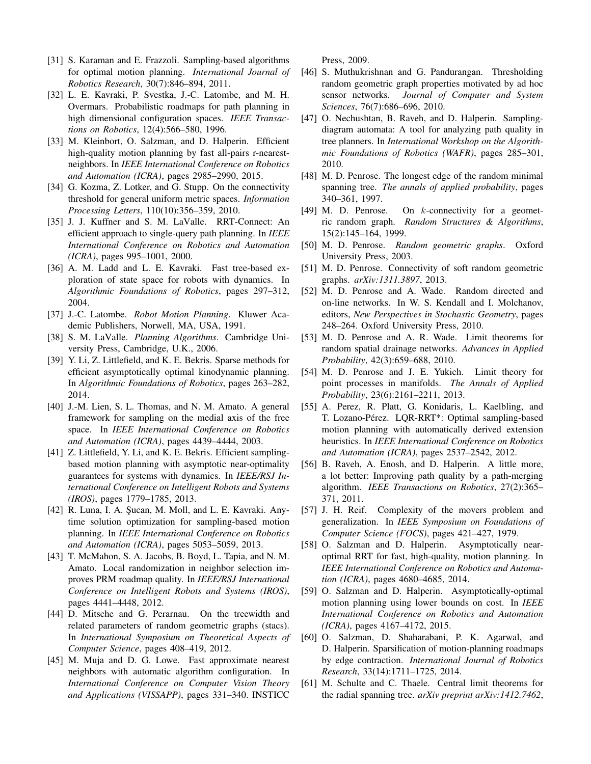- <span id="page-9-0"></span>[31] S. Karaman and E. Frazzoli. Sampling-based algorithms for optimal motion planning. *International Journal of Robotics Research*, 30(7):846–894, 2011.
- <span id="page-9-5"></span>[32] L. E. Kavraki, P. Svestka, J.-C. Latombe, and M. H. Overmars. Probabilistic roadmaps for path planning in high dimensional configuration spaces. *IEEE Transactions on Robotics*, 12(4):566–580, 1996.
- <span id="page-9-28"></span>[33] M. Kleinbort, O. Salzman, and D. Halperin. Efficient high-quality motion planning by fast all-pairs r-nearestneighbors. In *IEEE International Conference on Robotics and Automation (ICRA)*, pages 2985–2990, 2015.
- <span id="page-9-17"></span>[34] G. Kozma, Z. Lotker, and G. Stupp. On the connectivity threshold for general uniform metric spaces. *Information Processing Letters*, 110(10):356–359, 2010.
- <span id="page-9-6"></span>[35] J. J. Kuffner and S. M. LaValle. RRT-Connect: An efficient approach to single-query path planning. In *IEEE International Conference on Robotics and Automation (ICRA)*, pages 995–1001, 2000.
- <span id="page-9-14"></span>[36] A. M. Ladd and L. E. Kavraki. Fast tree-based exploration of state space for robots with dynamics. In *Algorithmic Foundations of Robotics*, pages 297–312, 2004.
- <span id="page-9-1"></span>[37] J.-C. Latombe. *Robot Motion Planning*. Kluwer Academic Publishers, Norwell, MA, USA, 1991.
- <span id="page-9-2"></span>[38] S. M. LaValle. *Planning Algorithms*. Cambridge University Press, Cambridge, U.K., 2006.
- <span id="page-9-15"></span>[39] Y. Li, Z. Littlefield, and K. E. Bekris. Sparse methods for efficient asymptotically optimal kinodynamic planning. In *Algorithmic Foundations of Robotics*, pages 263–282, 2014.
- <span id="page-9-7"></span>[40] J.-M. Lien, S. L. Thomas, and N. M. Amato. A general framework for sampling on the medial axis of the free space. In *IEEE International Conference on Robotics and Automation (ICRA)*, pages 4439–4444, 2003.
- <span id="page-9-12"></span>[41] Z. Littlefield, Y. Li, and K. E. Bekris. Efficient samplingbased motion planning with asymptotic near-optimality guarantees for systems with dynamics. In *IEEE/RSJ International Conference on Intelligent Robots and Systems (IROS)*, pages 1779–1785, 2013.
- <span id="page-9-8"></span>[42] R. Luna, I. A. Şucan, M. Moll, and L. E. Kavraki. Anytime solution optimization for sampling-based motion planning. In *IEEE International Conference on Robotics and Automation (ICRA)*, pages 5053–5059, 2013.
- <span id="page-9-27"></span>[43] T. McMahon, S. A. Jacobs, B. Boyd, L. Tapia, and N. M. Amato. Local randomization in neighbor selection improves PRM roadmap quality. In *IEEE/RSJ International Conference on Intelligent Robots and Systems (IROS)*, pages 4441–4448, 2012.
- <span id="page-9-21"></span>[44] D. Mitsche and G. Perarnau. On the treewidth and related parameters of random geometric graphs (stacs). In *International Symposium on Theoretical Aspects of Computer Science*, pages 408–419, 2012.
- <span id="page-9-29"></span>[45] M. Muja and D. G. Lowe. Fast approximate nearest neighbors with automatic algorithm configuration. In *International Conference on Computer Vision Theory and Applications (VISSAPP)*, pages 331–340. INSTICC

Press, 2009.

- <span id="page-9-22"></span>[46] S. Muthukrishnan and G. Pandurangan. Thresholding random geometric graph properties motivated by ad hoc sensor networks. *Journal of Computer and System Sciences*, 76(7):686–696, 2010.
- <span id="page-9-10"></span>[47] O. Nechushtan, B. Raveh, and D. Halperin. Samplingdiagram automata: A tool for analyzing path quality in tree planners. In *International Workshop on the Algorithmic Foundations of Robotics (WAFR)*, pages 285–301, 2010.
- <span id="page-9-18"></span>[48] M. D. Penrose. The longest edge of the random minimal spanning tree. *The annals of applied probability*, pages 340–361, 1997.
- <span id="page-9-19"></span>[49] M. D. Penrose. On k-connectivity for a geometric random graph. *Random Structures & Algorithms*, 15(2):145–164, 1999.
- <span id="page-9-20"></span>[50] M. D. Penrose. *Random geometric graphs*. Oxford University Press, 2003.
- <span id="page-9-23"></span>[51] M. D. Penrose. Connectivity of soft random geometric graphs. *arXiv:1311.3897*, 2013.
- <span id="page-9-24"></span>[52] M. D. Penrose and A. Wade. Random directed and on-line networks. In W. S. Kendall and I. Molchanov, editors, *New Perspectives in Stochastic Geometry*, pages 248–264. Oxford University Press, 2010.
- <span id="page-9-25"></span>[53] M. D. Penrose and A. R. Wade. Limit theorems for random spatial drainage networks. *Advances in Applied Probability*, 42(3):659–688, 2010.
- <span id="page-9-30"></span>[54] M. D. Penrose and J. E. Yukich. Limit theory for point processes in manifolds. *The Annals of Applied Probability*, 23(6):2161–2211, 2013.
- <span id="page-9-16"></span>[55] A. Perez, R. Platt, G. Konidaris, L. Kaelbling, and T. Lozano-Pérez. LQR-RRT\*: Optimal sampling-based motion planning with automatically derived extension heuristics. In *IEEE International Conference on Robotics and Automation (ICRA)*, pages 2537–2542, 2012.
- <span id="page-9-9"></span>[56] B. Raveh, A. Enosh, and D. Halperin. A little more, a lot better: Improving path quality by a path-merging algorithm. *IEEE Transactions on Robotics*, 27(2):365– 371, 2011.
- <span id="page-9-3"></span>[57] J. H. Reif. Complexity of the movers problem and generalization. In *IEEE Symposium on Foundations of Computer Science (FOCS)*, pages 421–427, 1979.
- <span id="page-9-4"></span>[58] O. Salzman and D. Halperin. Asymptotically nearoptimal RRT for fast, high-quality, motion planning. In *IEEE International Conference on Robotics and Automation (ICRA)*, pages 4680–4685, 2014.
- <span id="page-9-11"></span>[59] O. Salzman and D. Halperin. Asymptotically-optimal motion planning using lower bounds on cost. In *IEEE International Conference on Robotics and Automation (ICRA)*, pages 4167–4172, 2015.
- <span id="page-9-13"></span>[60] O. Salzman, D. Shaharabani, P. K. Agarwal, and D. Halperin. Sparsification of motion-planning roadmaps by edge contraction. *International Journal of Robotics Research*, 33(14):1711–1725, 2014.
- <span id="page-9-26"></span>[61] M. Schulte and C. Thaele. Central limit theorems for the radial spanning tree. *arXiv preprint arXiv:1412.7462*,